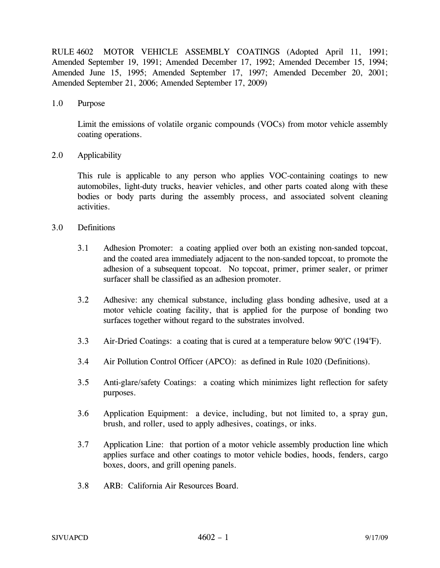RULE 4602 MOTOR VEHICLE ASSEMBLY COATINGS (Adopted April 11, 1991; Amended September 19, 1991; Amended December 17, 1992; Amended December 15, 1994; Amended June 15, 1995; Amended September 17, 1997; Amended December 20, 2001; Amended September 21, 2006; Amended September 17, 2009)

1.0 Purpose

Limit the emissions of volatile organic compounds (VOCs) from motor vehicle assembly coating operations.

2.0 Applicability

This rule is applicable to any person who applies VOC-containing coatings to new automobiles, light-duty trucks, heavier vehicles, and other parts coated along with these bodies or body parts during the assembly process, and associated solvent cleaning activities.

- 3.0 Definitions
	- 3.1 Adhesion Promoter: a coating applied over both an existing non-sanded topcoat, and the coated area immediately adjacent to the non-sanded topcoat, to promote the adhesion of a subsequent topcoat. No topcoat, primer, primer sealer, or primer surfacer shall be classified as an adhesion promoter.
	- 3.2 Adhesive: any chemical substance, including glass bonding adhesive, used at a motor vehicle coating facility, that is applied for the purpose of bonding two surfaces together without regard to the substrates involved.
	- 3.3 Air-Dried Coatings: a coating that is cured at a temperature below  $90^{\circ}$ C (194 $^{\circ}$ F).
	- 3.4 Air Pollution Control Officer (APCO): as defined in Rule 1020 (Definitions).
	- 3.5 Anti-glare/safety Coatings: a coating which minimizes light reflection for safety purposes.
	- 3.6 Application Equipment: a device, including, but not limited to, a spray gun, brush, and roller, used to apply adhesives, coatings, or inks.
	- 3.7 Application Line: that portion of a motor vehicle assembly production line which applies surface and other coatings to motor vehicle bodies, hoods, fenders, cargo boxes, doors, and grill opening panels.
	- 3.8 ARB: California Air Resources Board.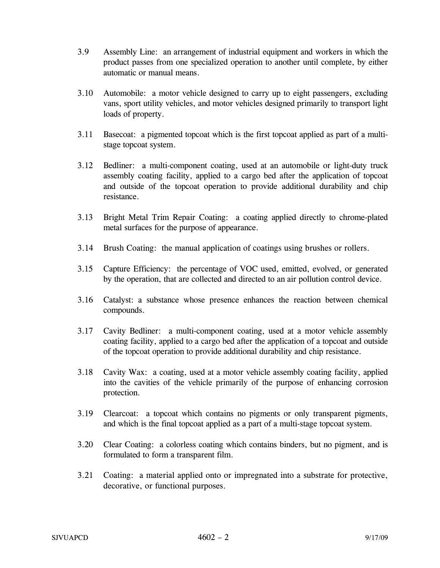- 3.9 Assembly Line: an arrangement of industrial equipment and workers in which the product passes from one specialized operation to another until complete, by either automatic or manual means.
- 3.10 Automobile: a motor vehicle designed to carry up to eight passengers, excluding vans, sport utility vehicles, and motor vehicles designed primarily to transport light loads of property.
- 3.11 Basecoat: a pigmented topcoat which is the first topcoat applied as part of a multistage topcoat system.
- 3.12 Bedliner: a multi-component coating, used at an automobile or light-duty truck assembly coating facility, applied to a cargo bed after the application of topcoat and outside of the topcoat operation to provide additional durability and chip resistance.
- 3.13 Bright Metal Trim Repair Coating: a coating applied directly to chrome-plated metal surfaces for the purpose of appearance.
- 3.14 Brush Coating: the manual application of coatings using brushes or rollers.
- 3.15 Capture Efficiency: the percentage of VOC used, emitted, evolved, or generated by the operation, that are collected and directed to an air pollution control device.
- 3.16 Catalyst: a substance whose presence enhances the reaction between chemical compounds.
- 3.17 Cavity Bedliner: a multi-component coating, used at a motor vehicle assembly coating facility, applied to a cargo bed after the application of a topcoat and outside of the topcoat operation to provide additional durability and chip resistance.
- 3.18 Cavity Wax: a coating, used at a motor vehicle assembly coating facility, applied into the cavities of the vehicle primarily of the purpose of enhancing corrosion protection.
- 3.19 Clearcoat: a topcoat which contains no pigments or only transparent pigments, and which is the final topcoat applied as a part of a multi-stage topcoat system.
- 3.20 Clear Coating: a colorless coating which contains binders, but no pigment, and is formulated to form a transparent film.
- 3.21 Coating: a material applied onto or impregnated into a substrate for protective, decorative, or functional purposes.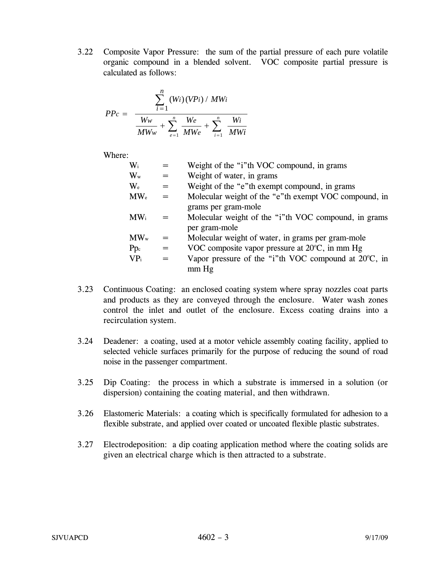3.22 Composite Vapor Pressure: the sum of the partial pressure of each pure volatile organic compound in a blended solvent. VOC composite partial pressure is calculated as follows:

$$
PP_{c} = \frac{\sum_{i=1}^{n} (Wi) (VPi) / MWi}{\frac{Ww}{MWw} + \sum_{e=1}^{n} \frac{We}{MWe} + \sum_{i=1}^{n} \frac{Wi}{MWi}}
$$

Where:

| $\mathrm{W}_{\mathrm{i}}$ |     | Weight of the "i"th VOC compound, in grams                     |
|---------------------------|-----|----------------------------------------------------------------|
| $W_{w}$                   | $=$ | Weight of water, in grams                                      |
| $\rm{W}_{\rm{e}}$         | $=$ | Weight of the "e"th exempt compound, in grams                  |
| $MW_{e}$                  | $=$ | Molecular weight of the "e"th exempt VOC compound, in          |
|                           |     | grams per gram-mole                                            |
| $MW_i$                    |     | Molecular weight of the "i"th VOC compound, in grams           |
|                           |     | per gram-mole                                                  |
| $MW_{w}$                  |     | Molecular weight of water, in grams per gram-mole              |
| $Pp_c$                    | $=$ | VOC composite vapor pressure at $20^{\circ}$ C, in mm Hg       |
| VP <sub>i</sub>           | $=$ | Vapor pressure of the "i"th VOC compound at $20^{\circ}$ C, in |
|                           |     | $mm$ Hg                                                        |
|                           |     |                                                                |

- 3.23 Continuous Coating: an enclosed coating system where spray nozzles coat parts and products as they are conveyed through the enclosure. Water wash zones control the inlet and outlet of the enclosure. Excess coating drains into a recirculation system.
- 3.24 Deadener: a coating, used at a motor vehicle assembly coating facility, applied to selected vehicle surfaces primarily for the purpose of reducing the sound of road noise in the passenger compartment.
- 3.25 Dip Coating: the process in which a substrate is immersed in a solution (or dispersion) containing the coating material, and then withdrawn.
- 3.26 Elastomeric Materials: a coating which is specifically formulated for adhesion to a flexible substrate, and applied over coated or uncoated flexible plastic substrates.
- 3.27 Electrodeposition: a dip coating application method where the coating solids are given an electrical charge which is then attracted to a substrate.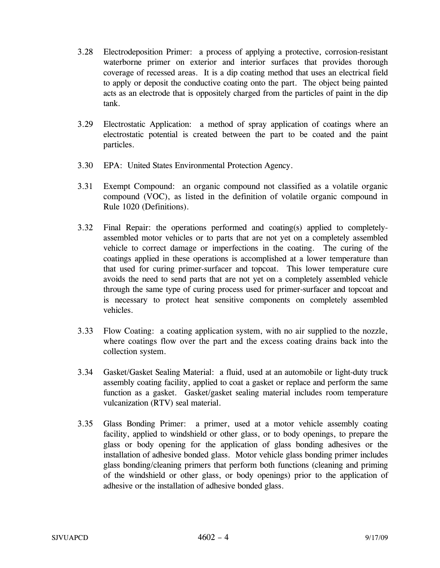- 3.28 Electrodeposition Primer: a process of applying a protective, corrosion-resistant waterborne primer on exterior and interior surfaces that provides thorough coverage of recessed areas. It is a dip coating method that uses an electrical field to apply or deposit the conductive coating onto the part. The object being painted acts as an electrode that is oppositely charged from the particles of paint in the dip tank.
- 3.29 Electrostatic Application: a method of spray application of coatings where an electrostatic potential is created between the part to be coated and the paint particles.
- 3.30 EPA: United States Environmental Protection Agency.
- 3.31 Exempt Compound: an organic compound not classified as a volatile organic compound (VOC), as listed in the definition of volatile organic compound in Rule 1020 (Definitions).
- 3.32 Final Repair: the operations performed and coating(s) applied to completelyassembled motor vehicles or to parts that are not yet on a completely assembled vehicle to correct damage or imperfections in the coating. The curing of the coatings applied in these operations is accomplished at a lower temperature than that used for curing primer-surfacer and topcoat. This lower temperature cure avoids the need to send parts that are not yet on a completely assembled vehicle through the same type of curing process used for primer-surfacer and topcoat and is necessary to protect heat sensitive components on completely assembled vehicles.
- 3.33 Flow Coating: a coating application system, with no air supplied to the nozzle, where coatings flow over the part and the excess coating drains back into the collection system.
- 3.34 Gasket/Gasket Sealing Material: a fluid, used at an automobile or light-duty truck assembly coating facility, applied to coat a gasket or replace and perform the same function as a gasket. Gasket/gasket sealing material includes room temperature vulcanization (RTV) seal material.
- 3.35 Glass Bonding Primer: a primer, used at a motor vehicle assembly coating facility, applied to windshield or other glass, or to body openings, to prepare the glass or body opening for the application of glass bonding adhesives or the installation of adhesive bonded glass. Motor vehicle glass bonding primer includes glass bonding/cleaning primers that perform both functions (cleaning and priming of the windshield or other glass, or body openings) prior to the application of adhesive or the installation of adhesive bonded glass.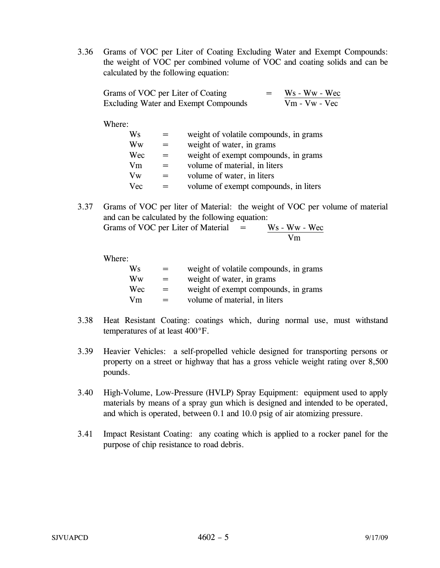3.36 Grams of VOC per Liter of Coating Excluding Water and Exempt Compounds: the weight of VOC per combined volume of VOC and coating solids and can be calculated by the following equation:

| Grams of VOC per Liter of Coating           | Ws - Ww - Wec   |
|---------------------------------------------|-----------------|
| <b>Excluding Water and Exempt Compounds</b> | $Vm - Vw - Vec$ |

### Where:

| Ws         |     | weight of volatile compounds, in grams |
|------------|-----|----------------------------------------|
| Ww         | $=$ | weight of water, in grams              |
| Wec        | $=$ | weight of exempt compounds, in grams   |
| Vm         |     | volume of material, in liters          |
| Vw         | $=$ | volume of water, in liters             |
| <b>Vec</b> |     | volume of exempt compounds, in liters  |

3.37 Grams of VOC per liter of Material: the weight of VOC per volume of material and can be calculated by the following equation:

Grams of VOC per Liter of Material  $=$  $\frac{Ws - Ww - Wec}{Vm}$ 

Where:

| Ws  | $=$ | weight of volatile compounds, in grams |
|-----|-----|----------------------------------------|
| Ww  | $=$ | weight of water, in grams              |
| Wec | $=$ | weight of exempt compounds, in grams   |
| Vm  | $=$ | volume of material, in liters          |

- 3.38 Heat Resistant Coating: coatings which, during normal use, must withstand temperatures of at least 400°F.
- 3.39 Heavier Vehicles: a self-propelled vehicle designed for transporting persons or property on a street or highway that has a gross vehicle weight rating over 8,500 pounds.
- 3.40 High-Volume, Low-Pressure (HVLP) Spray Equipment: equipment used to apply materials by means of a spray gun which is designed and intended to be operated, and which is operated, between 0.1 and 10.0 psig of air atomizing pressure.
- 3.41 Impact Resistant Coating: any coating which is applied to a rocker panel for the purpose of chip resistance to road debris.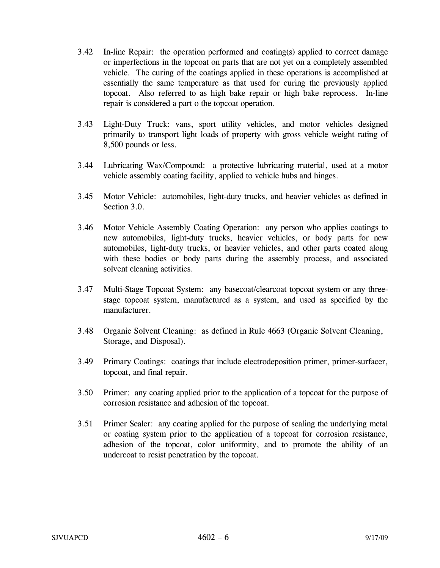- 3.42 In-line Repair: the operation performed and coating(s) applied to correct damage or imperfections in the topcoat on parts that are not yet on a completely assembled vehicle. The curing of the coatings applied in these operations is accomplished at essentially the same temperature as that used for curing the previously applied topcoat. Also referred to as high bake repair or high bake reprocess. In-line repair is considered a part o the topcoat operation.
- 3.43 Light-Duty Truck: vans, sport utility vehicles, and motor vehicles designed primarily to transport light loads of property with gross vehicle weight rating of 8,500 pounds or less.
- 3.44 Lubricating Wax/Compound: a protective lubricating material, used at a motor vehicle assembly coating facility, applied to vehicle hubs and hinges.
- 3.45 Motor Vehicle: automobiles, light-duty trucks, and heavier vehicles as defined in Section 3.0.
- 3.46 Motor Vehicle Assembly Coating Operation: any person who applies coatings to new automobiles, light-duty trucks, heavier vehicles, or body parts for new automobiles, light-duty trucks, or heavier vehicles, and other parts coated along with these bodies or body parts during the assembly process, and associated solvent cleaning activities.
- 3.47 Multi-Stage Topcoat System: any basecoat/clearcoat topcoat system or any threestage topcoat system, manufactured as a system, and used as specified by the manufacturer.
- 3.48 Organic Solvent Cleaning: as defined in Rule 4663 (Organic Solvent Cleaning, Storage, and Disposal).
- 3.49 Primary Coatings: coatings that include electrodeposition primer, primer-surfacer, topcoat, and final repair.
- 3.50 Primer: any coating applied prior to the application of a topcoat for the purpose of corrosion resistance and adhesion of the topcoat.
- 3.51 Primer Sealer: any coating applied for the purpose of sealing the underlying metal or coating system prior to the application of a topcoat for corrosion resistance, adhesion of the topcoat, color uniformity, and to promote the ability of an undercoat to resist penetration by the topcoat.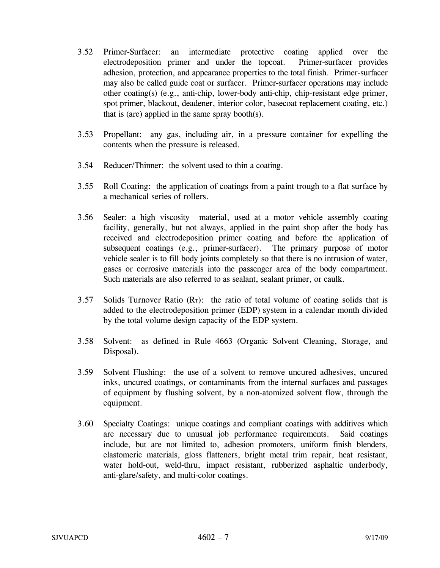- 3.52 Primer-Surfacer: an intermediate protective coating applied over the electrodeposition primer and under the topcoat. Primer-surfacer provides adhesion, protection, and appearance properties to the total finish. Primer-surfacer may also be called guide coat or surfacer. Primer-surfacer operations may include other coating(s) (e.g., anti-chip, lower-body anti-chip, chip-resistant edge primer, spot primer, blackout, deadener, interior color, basecoat replacement coating, etc.) that is (are) applied in the same spray booth(s).
- 3.53 Propellant: any gas, including air, in a pressure container for expelling the contents when the pressure is released.
- 3.54 Reducer/Thinner: the solvent used to thin a coating.
- 3.55 Roll Coating: the application of coatings from a paint trough to a flat surface by a mechanical series of rollers.
- 3.56 Sealer: a high viscosity material, used at a motor vehicle assembly coating facility, generally, but not always, applied in the paint shop after the body has received and electrodeposition primer coating and before the application of subsequent coatings (e.g., primer-surfacer). The primary purpose of motor vehicle sealer is to fill body joints completely so that there is no intrusion of water, gases or corrosive materials into the passenger area of the body compartment. Such materials are also referred to as sealant, sealant primer, or caulk.
- 3.57 Solids Turnover Ratio  $(R_T)$ : the ratio of total volume of coating solids that is added to the electrodeposition primer (EDP) system in a calendar month divided by the total volume design capacity of the EDP system.
- 3.58 Solvent: as defined in Rule 4663 (Organic Solvent Cleaning, Storage, and Disposal).
- 3.59 Solvent Flushing: the use of a solvent to remove uncured adhesives, uncured inks, uncured coatings, or contaminants from the internal surfaces and passages of equipment by flushing solvent, by a non-atomized solvent flow, through the equipment.
- 3.60 Specialty Coatings: unique coatings and compliant coatings with additives which are necessary due to unusual job performance requirements. Said coatings include, but are not limited to, adhesion promoters, uniform finish blenders, elastomeric materials, gloss flatteners, bright metal trim repair, heat resistant, water hold-out, weld-thru, impact resistant, rubberized asphaltic underbody, anti-glare/safety, and multi-color coatings.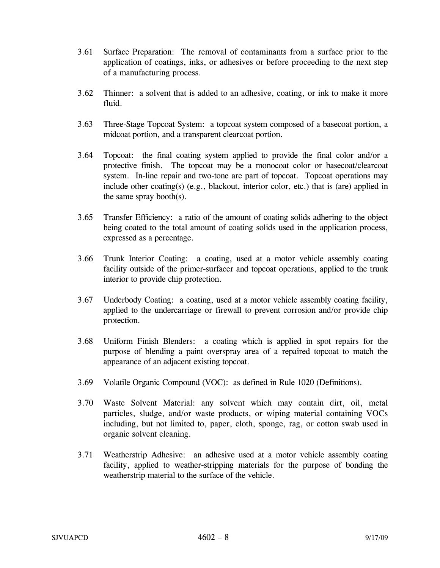- 3.61 Surface Preparation: The removal of contaminants from a surface prior to the application of coatings, inks, or adhesives or before proceeding to the next step of a manufacturing process.
- 3.62 Thinner: a solvent that is added to an adhesive, coating, or ink to make it more fluid.
- 3.63 Three-Stage Topcoat System: a topcoat system composed of a basecoat portion, a midcoat portion, and a transparent clearcoat portion.
- 3.64 Topcoat: the final coating system applied to provide the final color and/or a protective finish. The topcoat may be a monocoat color or basecoat/clearcoat system. In-line repair and two-tone are part of topcoat. Topcoat operations may include other coating(s) (e.g., blackout, interior color, etc.) that is (are) applied in the same spray booth(s).
- 3.65 Transfer Efficiency: a ratio of the amount of coating solids adhering to the object being coated to the total amount of coating solids used in the application process, expressed as a percentage.
- 3.66 Trunk Interior Coating: a coating, used at a motor vehicle assembly coating facility outside of the primer-surfacer and topcoat operations, applied to the trunk interior to provide chip protection.
- 3.67 Underbody Coating: a coating, used at a motor vehicle assembly coating facility, applied to the undercarriage or firewall to prevent corrosion and/or provide chip protection.
- 3.68 Uniform Finish Blenders: a coating which is applied in spot repairs for the purpose of blending a paint overspray area of a repaired topcoat to match the appearance of an adjacent existing topcoat.
- 3.69 Volatile Organic Compound (VOC): as defined in Rule 1020 (Definitions).
- 3.70 Waste Solvent Material: any solvent which may contain dirt, oil, metal particles, sludge, and/or waste products, or wiping material containing VOCs including, but not limited to, paper, cloth, sponge, rag, or cotton swab used in organic solvent cleaning.
- 3.71 Weatherstrip Adhesive: an adhesive used at a motor vehicle assembly coating facility, applied to weather-stripping materials for the purpose of bonding the weatherstrip material to the surface of the vehicle.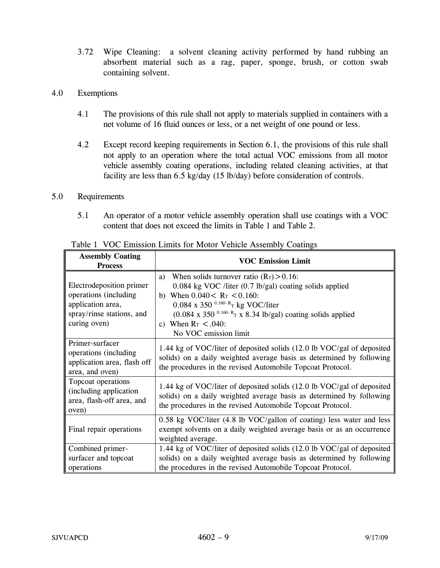3.72 Wipe Cleaning: a solvent cleaning activity performed by hand rubbing an absorbent material such as a rag, paper, sponge, brush, or cotton swab containing solvent.

# 4.0 Exemptions

- 4.1 The provisions of this rule shall not apply to materials supplied in containers with a net volume of 16 fluid ounces or less, or a net weight of one pound or less.
- 4.2 Except record keeping requirements in Section 6.1, the provisions of this rule shall not apply to an operation where the total actual VOC emissions from all motor vehicle assembly coating operations, including related cleaning activities, at that facility are less than 6.5 kg/day (15 lb/day) before consideration of controls.

## 5.0 Requirements

5.1 An operator of a motor vehicle assembly operation shall use coatings with a VOC content that does not exceed the limits in Table 1 and Table 2.

| <b>Assembly Coating</b><br><b>Process</b>                                                                            | <b>VOC Emission Limit</b>                                                                                                                                                                                                                                                                                                                                           |  |  |
|----------------------------------------------------------------------------------------------------------------------|---------------------------------------------------------------------------------------------------------------------------------------------------------------------------------------------------------------------------------------------------------------------------------------------------------------------------------------------------------------------|--|--|
| Electrodeposition primer<br>operations (including)<br>application area,<br>spray/rinse stations, and<br>curing oven) | When solids turnover ratio $(R_T) > 0.16$ :<br>a)<br>$0.084$ kg VOC /liter $(0.7 \text{ lb/gal})$ coating solids applied<br>When $0.040 < R_T < 0.160$ :<br>b)<br>0.084 x 350 $^{0.160}$ -R <sub>T</sub> kg VOC/liter<br>$(0.084 \times 350^{0.160 - R} \text{T X } 8.34 \text{ lb/gal})$ coating solids applied<br>c) When $R_T < .040$ :<br>No VOC emission limit |  |  |
| Primer-surfacer<br>operations (including)<br>application area, flash off<br>area, and oven)                          | 1.44 kg of VOC/liter of deposited solids (12.0 lb VOC/gal of deposited<br>solids) on a daily weighted average basis as determined by following<br>the procedures in the revised Automobile Topcoat Protocol.                                                                                                                                                        |  |  |
| Topcoat operations<br>(including application<br>area, flash-off area, and<br>oven)                                   | 1.44 kg of VOC/liter of deposited solids (12.0 lb VOC/gal of deposited<br>solids) on a daily weighted average basis as determined by following<br>the procedures in the revised Automobile Topcoat Protocol.                                                                                                                                                        |  |  |
| Final repair operations                                                                                              | $0.58$ kg VOC/liter (4.8 lb VOC/gallon of coating) less water and less<br>exempt solvents on a daily weighted average basis or as an occurrence<br>weighted average.                                                                                                                                                                                                |  |  |
| Combined primer-<br>surfacer and topcoat<br>operations                                                               | 1.44 kg of VOC/liter of deposited solids (12.0 lb VOC/gal of deposited<br>solids) on a daily weighted average basis as determined by following<br>the procedures in the revised Automobile Topcoat Protocol.                                                                                                                                                        |  |  |

Table 1 VOC Emission Limits for Motor Vehicle Assembly Coatings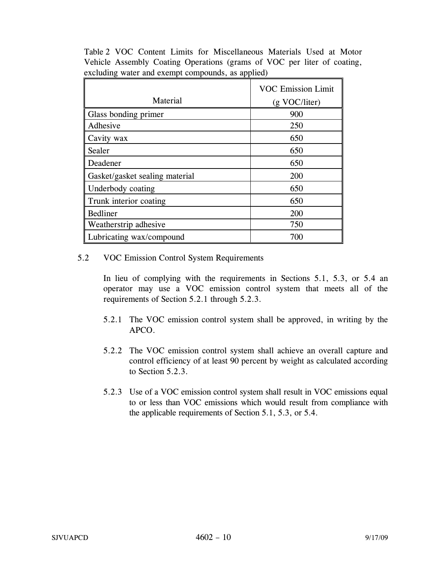Table 2 VOC Content Limits for Miscellaneous Materials Used at Motor Vehicle Assembly Coating Operations (grams of VOC per liter of coating, excluding water and exempt compounds, as applied)

|                                | <b>VOC Emission Limit</b> |
|--------------------------------|---------------------------|
| Material                       | (g VOC/liter)             |
| Glass bonding primer           | 900                       |
| Adhesive                       | 250                       |
| Cavity wax                     | 650                       |
| Sealer                         | 650                       |
| Deadener                       | 650                       |
| Gasket/gasket sealing material | 200                       |
| Underbody coating              | 650                       |
| Trunk interior coating         | 650                       |
| Bedliner                       | 200                       |
| Weatherstrip adhesive          | 750                       |
| Lubricating wax/compound       | 700                       |

# 5.2 VOC Emission Control System Requirements

In lieu of complying with the requirements in Sections 5.1, 5.3, or 5.4 an operator may use a VOC emission control system that meets all of the requirements of Section 5.2.1 through 5.2.3.

- 5.2.1 The VOC emission control system shall be approved, in writing by the APCO.
- 5.2.2 The VOC emission control system shall achieve an overall capture and control efficiency of at least 90 percent by weight as calculated according to Section 5.2.3.
- 5.2.3 Use of a VOC emission control system shall result in VOC emissions equal to or less than VOC emissions which would result from compliance with the applicable requirements of Section 5.1, 5.3, or 5.4.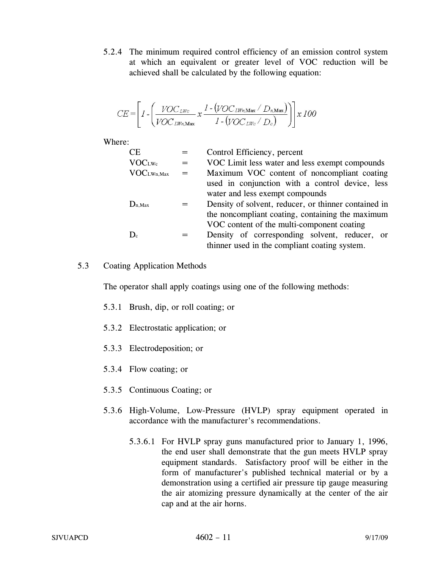5.2.4 The minimum required control efficiency of an emission control system at which an equivalent or greater level of VOC reduction will be achieved shall be calculated by the following equation:

$$
CE = \left[1 - \left(\frac{VOC_{LWc}}{VOC_{LWn,\text{Max}}} x \frac{1 - (VOC_{LWn,\text{Max}} / D_{n,\text{Max}})}{1 - (VOC_{LWc} / D_{c})}\right)\right] x 100
$$

Where:

| <b>CE</b>              |     | Control Efficiency, percent                          |
|------------------------|-----|------------------------------------------------------|
| <b>VOCLWc</b>          |     | VOC Limit less water and less exempt compounds       |
| VOC <sub>LWn,Max</sub> | $=$ | Maximum VOC content of noncompliant coating          |
|                        |     | used in conjunction with a control device, less      |
|                        |     | water and less exempt compounds                      |
| $D_{n,Max}$            |     | Density of solvent, reducer, or thinner contained in |
|                        |     | the noncompliant coating, containing the maximum     |
|                        |     | VOC content of the multi-component coating           |
| $\mathbf{D}_{\rm c}$   |     | Density of corresponding solvent, reducer, or        |
|                        |     | thinner used in the compliant coating system.        |

# 5.3 Coating Application Methods

The operator shall apply coatings using one of the following methods:

- 5.3.1 Brush, dip, or roll coating; or
- 5.3.2 Electrostatic application; or
- 5.3.3 Electrodeposition; or
- 5.3.4 Flow coating; or
- 5.3.5 Continuous Coating; or
- 5.3.6 High-Volume, Low-Pressure (HVLP) spray equipment operated in accordance with the manufacturer's recommendations.
	- 5.3.6.1 For HVLP spray guns manufactured prior to January 1, 1996, the end user shall demonstrate that the gun meets HVLP spray equipment standards. Satisfactory proof will be either in the form of manufacturer's published technical material or by a demonstration using a certified air pressure tip gauge measuring the air atomizing pressure dynamically at the center of the air cap and at the air horns.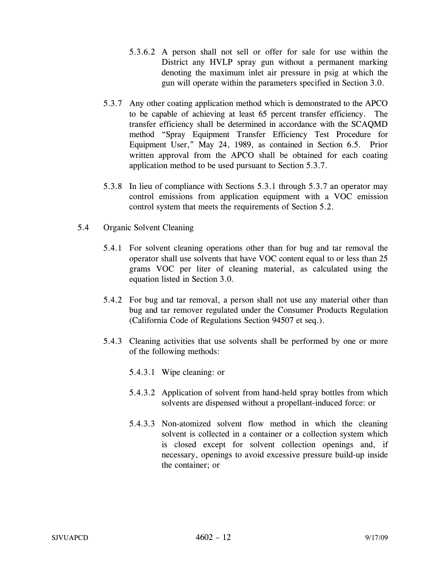- 5.3.6.2 A person shall not sell or offer for sale for use within the District any HVLP spray gun without a permanent marking denoting the maximum inlet air pressure in psig at which the gun will operate within the parameters specified in Section 3.0.
- 5.3.7 Any other coating application method which is demonstrated to the APCO to be capable of achieving at least 65 percent transfer efficiency. The transfer efficiency shall be determined in accordance with the SCAQMD method "Spray Equipment Transfer Efficiency Test Procedure for Equipment User," May 24, 1989, as contained in Section 6.5. Prior written approval from the APCO shall be obtained for each coating application method to be used pursuant to Section 5.3.7.
- 5.3.8 In lieu of compliance with Sections 5.3.1 through 5.3.7 an operator may control emissions from application equipment with a VOC emission control system that meets the requirements of Section 5.2.
- 5.4 Organic Solvent Cleaning
	- 5.4.1 For solvent cleaning operations other than for bug and tar removal the operator shall use solvents that have VOC content equal to or less than 25 grams VOC per liter of cleaning material, as calculated using the equation listed in Section 3.0.
	- 5.4.2 For bug and tar removal, a person shall not use any material other than bug and tar remover regulated under the Consumer Products Regulation (California Code of Regulations Section 94507 et seq.).
	- 5.4.3 Cleaning activities that use solvents shall be performed by one or more of the following methods:
		- 5.4.3.1 Wipe cleaning: or
		- 5.4.3.2 Application of solvent from hand-held spray bottles from which solvents are dispensed without a propellant-induced force: or
		- 5.4.3.3 Non-atomized solvent flow method in which the cleaning solvent is collected in a container or a collection system which is closed except for solvent collection openings and, if necessary, openings to avoid excessive pressure build-up inside the container; or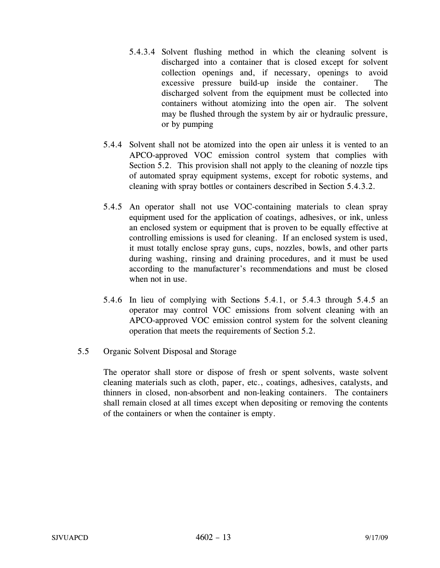- 5.4.3.4 Solvent flushing method in which the cleaning solvent is discharged into a container that is closed except for solvent collection openings and, if necessary, openings to avoid excessive pressure build-up inside the container. The discharged solvent from the equipment must be collected into containers without atomizing into the open air. The solvent may be flushed through the system by air or hydraulic pressure, or by pumping
- 5.4.4 Solvent shall not be atomized into the open air unless it is vented to an APCO-approved VOC emission control system that complies with Section 5.2. This provision shall not apply to the cleaning of nozzle tips of automated spray equipment systems, except for robotic systems, and cleaning with spray bottles or containers described in Section 5.4.3.2.
- 5.4.5 An operator shall not use VOC-containing materials to clean spray equipment used for the application of coatings, adhesives, or ink, unless an enclosed system or equipment that is proven to be equally effective at controlling emissions is used for cleaning. If an enclosed system is used, it must totally enclose spray guns, cups, nozzles, bowls, and other parts during washing, rinsing and draining procedures, and it must be used according to the manufacturer's recommendations and must be closed when not in use.
- 5.4.6 In lieu of complying with Sections 5.4.1, or 5.4.3 through 5.4.5 an operator may control VOC emissions from solvent cleaning with an APCO-approved VOC emission control system for the solvent cleaning operation that meets the requirements of Section 5.2.
- 5.5 Organic Solvent Disposal and Storage

The operator shall store or dispose of fresh or spent solvents, waste solvent cleaning materials such as cloth, paper, etc., coatings, adhesives, catalysts, and thinners in closed, non-absorbent and non-leaking containers. The containers shall remain closed at all times except when depositing or removing the contents of the containers or when the container is empty.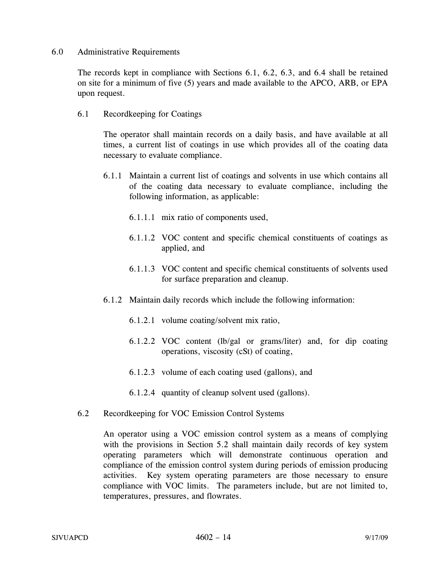#### 6.0 Administrative Requirements

The records kept in compliance with Sections 6.1, 6.2, 6.3, and 6.4 shall be retained on site for a minimum of five (5) years and made available to the APCO, ARB, or EPA upon request.

6.1 Recordkeeping for Coatings

The operator shall maintain records on a daily basis, and have available at all times, a current list of coatings in use which provides all of the coating data necessary to evaluate compliance.

- 6.1.1 Maintain a current list of coatings and solvents in use which contains all of the coating data necessary to evaluate compliance, including the following information, as applicable:
	- 6.1.1.1 mix ratio of components used,
	- 6.1.1.2 VOC content and specific chemical constituents of coatings as applied, and
	- 6.1.1.3 VOC content and specific chemical constituents of solvents used for surface preparation and cleanup.
- 6.1.2 Maintain daily records which include the following information:
	- 6.1.2.1 volume coating/solvent mix ratio,
	- 6.1.2.2 VOC content (lb/gal or grams/liter) and, for dip coating operations, viscosity (cSt) of coating,
	- 6.1.2.3 volume of each coating used (gallons), and
	- 6.1.2.4 quantity of cleanup solvent used (gallons).
- 6.2 Recordkeeping for VOC Emission Control Systems

An operator using a VOC emission control system as a means of complying with the provisions in Section 5.2 shall maintain daily records of key system operating parameters which will demonstrate continuous operation and compliance of the emission control system during periods of emission producing activities. Key system operating parameters are those necessary to ensure compliance with VOC limits. The parameters include, but are not limited to, temperatures, pressures, and flowrates.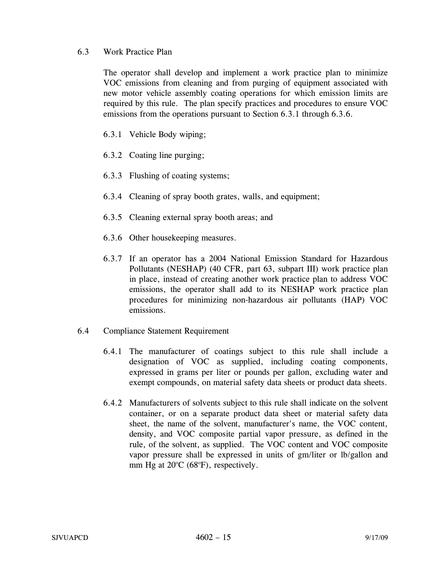## 6.3 Work Practice Plan

The operator shall develop and implement a work practice plan to minimize VOC emissions from cleaning and from purging of equipment associated with new motor vehicle assembly coating operations for which emission limits are required by this rule. The plan specify practices and procedures to ensure VOC emissions from the operations pursuant to Section 6.3.1 through 6.3.6.

- 6.3.1 Vehicle Body wiping;
- 6.3.2 Coating line purging;
- 6.3.3 Flushing of coating systems;
- 6.3.4 Cleaning of spray booth grates, walls, and equipment;
- 6.3.5 Cleaning external spray booth areas; and
- 6.3.6 Other housekeeping measures.
- 6.3.7 If an operator has a 2004 National Emission Standard for Hazardous Pollutants (NESHAP) (40 CFR, part 63, subpart III) work practice plan in place, instead of creating another work practice plan to address VOC emissions, the operator shall add to its NESHAP work practice plan procedures for minimizing non-hazardous air pollutants (HAP) VOC emissions.
- 6.4 Compliance Statement Requirement
	- 6.4.1 The manufacturer of coatings subject to this rule shall include a designation of VOC as supplied, including coating components, expressed in grams per liter or pounds per gallon, excluding water and exempt compounds, on material safety data sheets or product data sheets.
	- 6.4.2 Manufacturers of solvents subject to this rule shall indicate on the solvent container, or on a separate product data sheet or material safety data sheet, the name of the solvent, manufacturer's name, the VOC content, density, and VOC composite partial vapor pressure, as defined in the rule, of the solvent, as supplied. The VOC content and VOC composite vapor pressure shall be expressed in units of gm/liter or lb/gallon and mm Hg at  $20^{\circ}$ C (68 $^{\circ}$ F), respectively.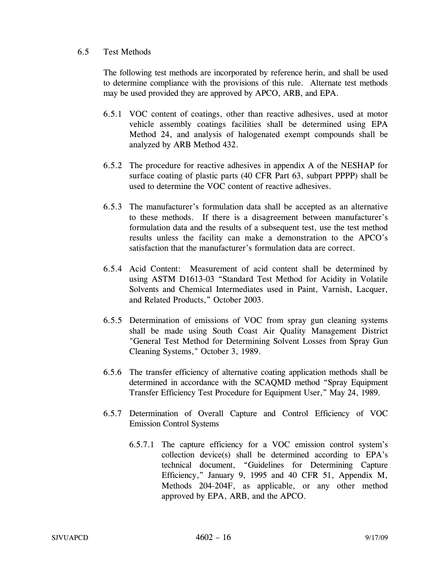### 6.5 Test Methods

The following test methods are incorporated by reference herin, and shall be used to determine compliance with the provisions of this rule. Alternate test methods may be used provided they are approved by APCO, ARB, and EPA.

- 6.5.1 VOC content of coatings, other than reactive adhesives, used at motor vehicle assembly coatings facilities shall be determined using EPA Method 24, and analysis of halogenated exempt compounds shall be analyzed by ARB Method 432.
- 6.5.2 The procedure for reactive adhesives in appendix A of the NESHAP for surface coating of plastic parts (40 CFR Part 63, subpart PPPP) shall be used to determine the VOC content of reactive adhesives.
- 6.5.3 The manufacturer's formulation data shall be accepted as an alternative to these methods. If there is a disagreement between manufacturer's formulation data and the results of a subsequent test, use the test method results unless the facility can make a demonstration to the APCO's satisfaction that the manufacturer's formulation data are correct.
- 6.5.4 Acid Content: Measurement of acid content shall be determined by using ASTM D1613-03 "Standard Test Method for Acidity in Volatile Solvents and Chemical Intermediates used in Paint, Varnish, Lacquer, and Related Products," October 2003.
- 6.5.5 Determination of emissions of VOC from spray gun cleaning systems shall be made using South Coast Air Quality Management District "General Test Method for Determining Solvent Losses from Spray Gun Cleaning Systems," October 3, 1989.
- 6.5.6 The transfer efficiency of alternative coating application methods shall be determined in accordance with the SCAQMD method "Spray Equipment Transfer Efficiency Test Procedure for Equipment User," May 24, 1989.
- 6.5.7 Determination of Overall Capture and Control Efficiency of VOC Emission Control Systems
	- 6.5.7.1 The capture efficiency for a VOC emission control system's collection device(s) shall be determined according to EPA's technical document, "Guidelines for Determining Capture Efficiency," January 9, 1995 and 40 CFR 51, Appendix M, Methods 204-204F, as applicable, or any other method approved by EPA, ARB, and the APCO.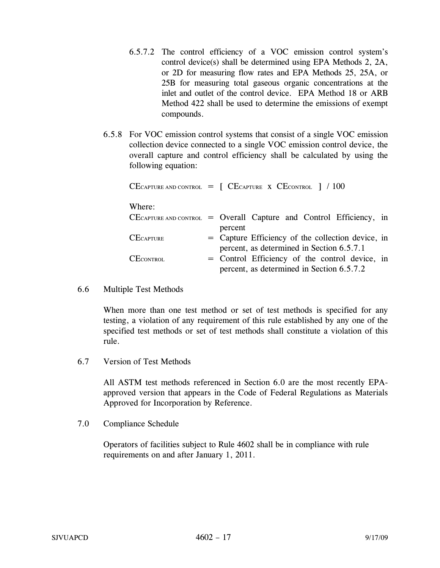- 6.5.7.2 The control efficiency of a VOC emission control system's control device(s) shall be determined using EPA Methods 2, 2A, or 2D for measuring flow rates and EPA Methods 25, 25A, or 25B for measuring total gaseous organic concentrations at the inlet and outlet of the control device. EPA Method 18 or ARB Method 422 shall be used to determine the emissions of exempt compounds.
- 6.5.8 For VOC emission control systems that consist of a single VOC emission collection device connected to a single VOC emission control device, the overall capture and control efficiency shall be calculated by using the following equation:

|                  | CECAPTURE AND CONTROL $=$ [ CECAPTURE X CECONTROL ] / 100                                   |
|------------------|---------------------------------------------------------------------------------------------|
| Where:           |                                                                                             |
|                  | $CE$ CAPTURE AND CONTROL = Overall Capture and Control Efficiency, in<br>percent            |
| <b>CECAPTURE</b> | = Capture Efficiency of the collection device, in                                           |
| <b>CECONTROL</b> | percent, as determined in Section 6.5.7.1<br>= Control Efficiency of the control device, in |
|                  | percent, as determined in Section 6.5.7.2                                                   |

6.6 Multiple Test Methods

When more than one test method or set of test methods is specified for any testing, a violation of any requirement of this rule established by any one of the specified test methods or set of test methods shall constitute a violation of this rule.

6.7 Version of Test Methods

All ASTM test methods referenced in Section 6.0 are the most recently EPAapproved version that appears in the Code of Federal Regulations as Materials Approved for Incorporation by Reference.

7.0 Compliance Schedule

Operators of facilities subject to Rule 4602 shall be in compliance with rule requirements on and after January 1, 2011.